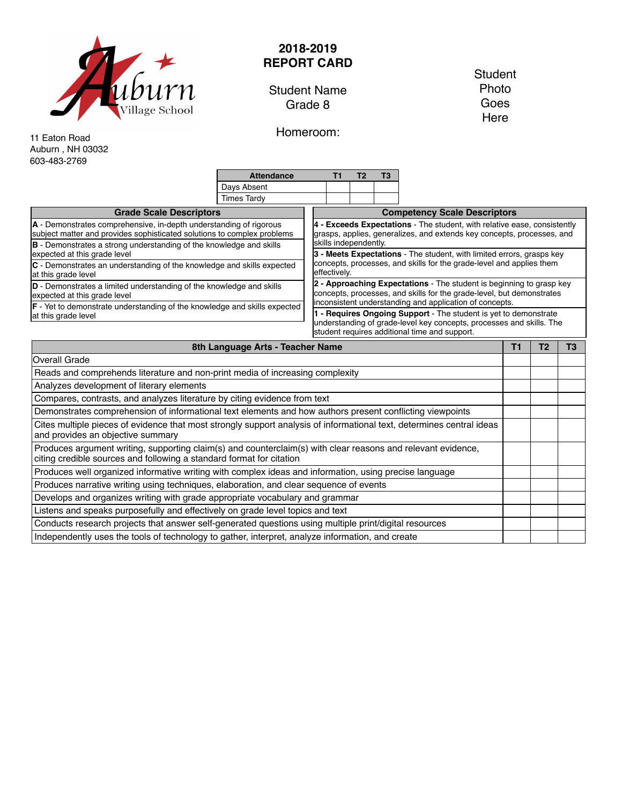

## **2018-2019 REPORT CARD**

Student Name Grade 8

Homeroom:

**Student** Photo Goes **Here** 

11 Eaton Road Auburn , NH 03032 603-483-2769

**Attendance T1 T2 T3** Days Absent Times Tardy **Grade Scale Descriptors A** - Demonstrates comprehensive, in-depth understanding of rigorous subject matter and provides sophisticated solutions to complex problems **B** - Demonstrates a strong understanding of the knowledge and skills expected at this grade level **C** - Demonstrates an understanding of the knowledge and skills expected at this grade level **D** - Demonstrates a limited understanding of the knowledge and skills expected at this grade level **F** - Yet to demonstrate understanding of the knowledge and skills expected at this grade level **Competency Scale Descriptors 4 - Exceeds Expectations** - The student, with relative ease, consistently grasps, applies, generalizes, and extends key concepts, processes, and skills independently. **3 - Meets Expectations** - The student, with limited errors, grasps key concepts, processes, and skills for the grade-level and applies them effectively. **2 - Approaching Expectations** - The student is beginning to grasp key concepts, processes, and skills for the grade-level, but demonstrates inconsistent understanding and application of concepts. **1 - Requires Ongoing Support** - The student is yet to demonstrate understanding of grade-level key concepts, processes and skills. The student requires additional time and support. **8th Language Arts - Teacher Name T1 T2 T3**

| oui Language Arts - Teacher Name                                                                                                                                                     | . . | $\overline{\phantom{a}}$ | טו |
|--------------------------------------------------------------------------------------------------------------------------------------------------------------------------------------|-----|--------------------------|----|
| <b>Overall Grade</b>                                                                                                                                                                 |     |                          |    |
| Reads and comprehends literature and non-print media of increasing complexity                                                                                                        |     |                          |    |
| Analyzes development of literary elements                                                                                                                                            |     |                          |    |
| Compares, contrasts, and analyzes literature by citing evidence from text                                                                                                            |     |                          |    |
| Demonstrates comprehension of informational text elements and how authors present conflicting viewpoints                                                                             |     |                          |    |
| Cites multiple pieces of evidence that most strongly support analysis of informational text, determines central ideas<br>and provides an objective summary                           |     |                          |    |
| Produces argument writing, supporting claim(s) and counterclaim(s) with clear reasons and relevant evidence,<br>citing credible sources and following a standard format for citation |     |                          |    |
| Produces well organized informative writing with complex ideas and information, using precise language                                                                               |     |                          |    |
| Produces narrative writing using techniques, elaboration, and clear sequence of events                                                                                               |     |                          |    |
| Develops and organizes writing with grade appropriate vocabulary and grammar                                                                                                         |     |                          |    |
| Listens and speaks purposefully and effectively on grade level topics and text                                                                                                       |     |                          |    |
| Conducts research projects that answer self-generated questions using multiple print/digital resources                                                                               |     |                          |    |
| Independently uses the tools of technology to gather, interpret, analyze information, and create                                                                                     |     |                          |    |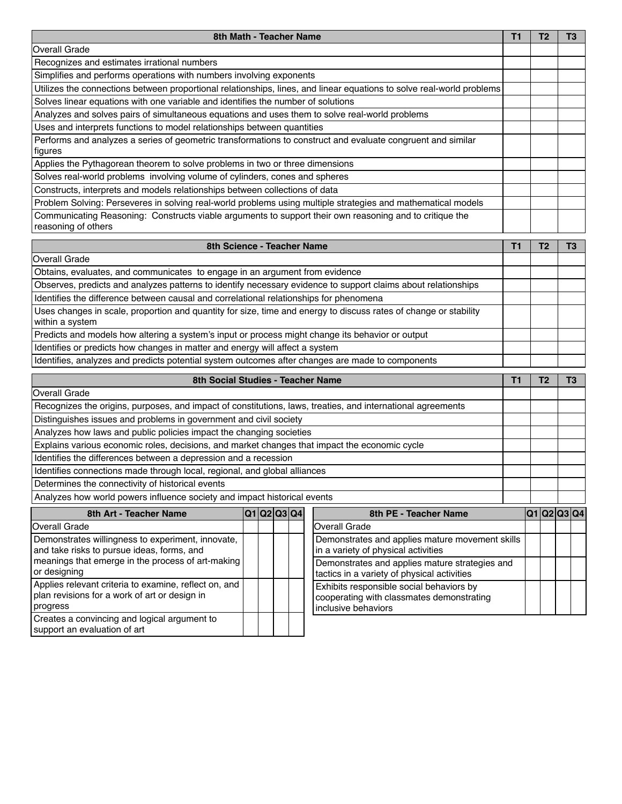| 8th Math - Teacher Name                                                                                                        | Т1 |  | ТЗ |
|--------------------------------------------------------------------------------------------------------------------------------|----|--|----|
| <b>Overall Grade</b>                                                                                                           |    |  |    |
| Recognizes and estimates irrational numbers                                                                                    |    |  |    |
| Simplifies and performs operations with numbers involving exponents                                                            |    |  |    |
| Utilizes the connections between proportional relationships, lines, and linear equations to solve real-world problems          |    |  |    |
| Solves linear equations with one variable and identifies the number of solutions                                               |    |  |    |
| Analyzes and solves pairs of simultaneous equations and uses them to solve real-world problems                                 |    |  |    |
| Uses and interprets functions to model relationships between quantities                                                        |    |  |    |
| Performs and analyzes a series of geometric transformations to construct and evaluate congruent and similar<br>figures         |    |  |    |
| Applies the Pythagorean theorem to solve problems in two or three dimensions                                                   |    |  |    |
| Solves real-world problems involving volume of cylinders, cones and spheres                                                    |    |  |    |
| Constructs, interprets and models relationships between collections of data                                                    |    |  |    |
| Problem Solving: Perseveres in solving real-world problems using multiple strategies and mathematical models                   |    |  |    |
| Communicating Reasoning: Constructs viable arguments to support their own reasoning and to critique the<br>reasoning of others |    |  |    |

| 8th Science - Teacher Name                                                                                                          |  |  |  |  |  |
|-------------------------------------------------------------------------------------------------------------------------------------|--|--|--|--|--|
| Overall Grade                                                                                                                       |  |  |  |  |  |
| Obtains, evaluates, and communicates to engage in an argument from evidence                                                         |  |  |  |  |  |
| Observes, predicts and analyzes patterns to identify necessary evidence to support claims about relationships                       |  |  |  |  |  |
| Identifies the difference between causal and correlational relationships for phenomena                                              |  |  |  |  |  |
| Uses changes in scale, proportion and quantity for size, time and energy to discuss rates of change or stability<br>within a system |  |  |  |  |  |
| Predicts and models how altering a system's input or process might change its behavior or output                                    |  |  |  |  |  |
| Identifies or predicts how changes in matter and energy will affect a system                                                        |  |  |  |  |  |
| Identifies, analyzes and predicts potential system outcomes after changes are made to components                                    |  |  |  |  |  |

| 8th Social Studies - Teacher Name                                                                           |  |  |  |  |  |  |  |
|-------------------------------------------------------------------------------------------------------------|--|--|--|--|--|--|--|
| Overall Grade                                                                                               |  |  |  |  |  |  |  |
| Recognizes the origins, purposes, and impact of constitutions, laws, treaties, and international agreements |  |  |  |  |  |  |  |
| Distinguishes issues and problems in government and civil society                                           |  |  |  |  |  |  |  |
| Analyzes how laws and public policies impact the changing societies                                         |  |  |  |  |  |  |  |
| Explains various economic roles, decisions, and market changes that impact the economic cycle               |  |  |  |  |  |  |  |
| Identifies the differences between a depression and a recession                                             |  |  |  |  |  |  |  |
| Identifies connections made through local, regional, and global alliances                                   |  |  |  |  |  |  |  |
| Determines the connectivity of historical events                                                            |  |  |  |  |  |  |  |
| Analyzes how world powers influence society and impact historical events                                    |  |  |  |  |  |  |  |
| 8th Art - Teacher Name<br>8th PE - Teacher Name<br>Q1 Q2 Q3 Q4                                              |  |  |  |  |  |  |  |

| 8th Art - Teacher Name                                                                                             |  | IU HUZIUJIU41 | oin PE - Teacher Name                                                                                        | <u>iu iuziusit</u> |  |
|--------------------------------------------------------------------------------------------------------------------|--|---------------|--------------------------------------------------------------------------------------------------------------|--------------------|--|
| Overall Grade                                                                                                      |  |               | Overall Grade                                                                                                |                    |  |
| Demonstrates willingness to experiment, innovate,<br>and take risks to pursue ideas, forms, and                    |  |               | Demonstrates and applies mature movement skills<br>in a variety of physical activities                       |                    |  |
| meanings that emerge in the process of art-making<br>or designing                                                  |  |               | Demonstrates and applies mature strategies and<br>tactics in a variety of physical activities                |                    |  |
| Applies relevant criteria to examine, reflect on, and<br>plan revisions for a work of art or design in<br>progress |  |               | Exhibits responsible social behaviors by<br>cooperating with classmates demonstrating<br>Inclusive behaviors |                    |  |
| Creates a convincing and logical argument to<br>support an evaluation of art                                       |  |               |                                                                                                              |                    |  |